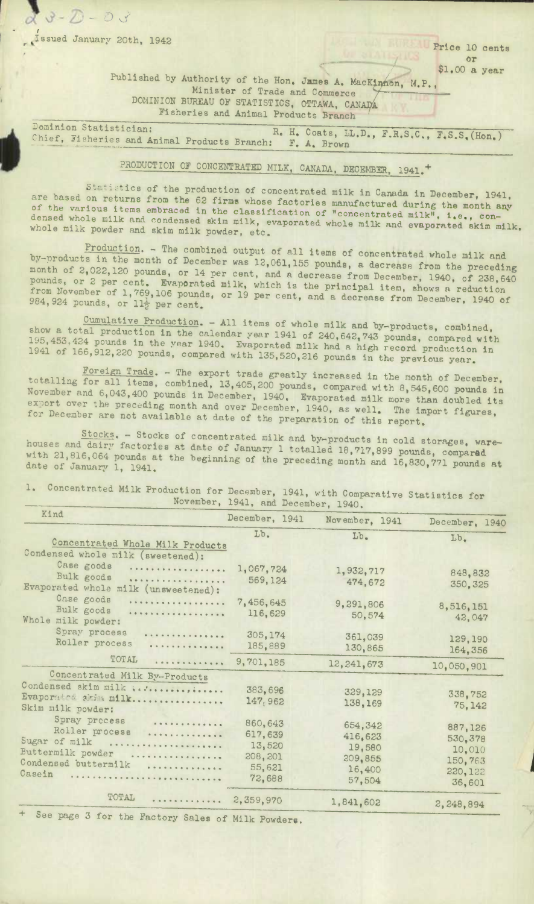,, Issued January 20th, 1942

 $\overrightarrow{d}$ 

Price 10 cents

or<br>\$1.00 a year

Published by Authority of the Hon. James A. MacKinnon, M.P., Minister of Trade and Commerce DOMINION BUREAU OF STATISTICS, OTTAWA, CANADA Fisheries and Animal Products Branch

Dominion Statistician: R, H, Coats, LL.D., F.R.S.C., F.S.S.(Hon.)<br>Chief, Fisheries and Animal Products Branch: F. A. Brown

PRODUCTION OF CONCENTRATED MILK, CANADA, DECEMBER, 1941.<sup>+</sup>

Statistics of the production of concentrated milk in Canada in December, 1941, are based on returns from the 62 firms whose factories manufactured during the month any of the various items embraced in the classification of "concentrated milk", i.e., con-<br>densed whole milk and condensed skim milk, eva

Production. - The combined output of all items of concentrated whole milk and by-products in the month of December was 12,061,155 pounds, a decrease from the preceding month of 2,022,120 pounds, or 14 per cent, and a decrease from December, 1940, of 238,640 pounds, or 2 per cent. Evapørated milk, which is the principal item, shows a reduction from November of 1,769,106 pounds, or 19 per cent, and a decrease from December, 1940 of 984, 924 pounds, or  $11\frac{1}{2}$  per cent.

Cumulative Production. - All items of whole milk and by-products, combined, show a total production in the calendar year 1941 of 240,642,743 pounds, compared with 195,453,424 pounds in the year 1940. Evaporated milk had a high record production in 1941 of 166,912,220 pounds, compared with 135,520,216 pounds **in** the previous year.

Foreign Trade. - The export trade greatly increased in the month of December. totalling for all items, combined, 13,405,200 pounds, compared with  $8,545,600$  pounds in Accember and 6,043,400 pounds in December, 1940. Evaporated milk more than doubled its export over the preceding month and over December, 1940, as well. The import figures, for December are not available at date of the preparation of this report,

Stocks, - Stocks of concentrated milk and by-products in cold storages, warehouses and dairy factories at date of January 1 totalled 18,717,899 pounds, compared. with 21,816,064 pounds at the beginning of the preceding month and 16,830,771 pounds at date of January 1, 1941.

Kind. December, 1941 November, 1941 December, 1940 Concentrated Whole Milk Products Lb. Lb. Lb. Lb. Condensed whole milk (sweetened): Case goods ................. Bulk goods 1,067,724 1,932,717 848,832<br>569,124 474,672 350,325 .................. Evaporated whole milk (unsweetened): 350,325 Case goods .................. Bulk goods 7,456,645 9,291,806 8,516,151<br>116,629 50,574 42.047 ............. Whole milk powder:<br>Spray process 42,047 Spray process ............... Roller process Process ................. 305,174 361,039 129,190<br>process ............... 185,889 130,865 164,356 TOTAL .............. 9,701,185 12,241,673 10,050,901 Concentrated Milk By-Products Condensed skim milk testeratories. Evaporatra skim milk................ 383,696 329,129 338,752<br>147,962 138,169 75,142 Skim milk powder: 138,169 75,142 Spray prccess ............. B51ay process ............... 860,643 654,342 887,126<br>Roller process ............... 617,639 416.623 530.379 Sugar of milk  $650,643$ <br>  $617,639$ <br>  $13,520$ <br>  $19,580$ <br>  $19,580$ <br>  $10,010$ ..................... Buttermilk powder .................  $13,520$   $19,580$   $10,010$ <br> $208,201$   $209,855$   $150,763$ Condensed buttermilk .............. 208,201 209,855 150,763<br>55,621 16,400 220,122 Casein  $\frac{220,122}{36,601}$ TOTAL ............. 2,359,970 1,841,602 2,248,894

1. Concentrated Milk Production for December, 1941, with Comparative Statistics for November, 1941, and December, 1940.

See page 3 for the Factory Sales of Milk Powders.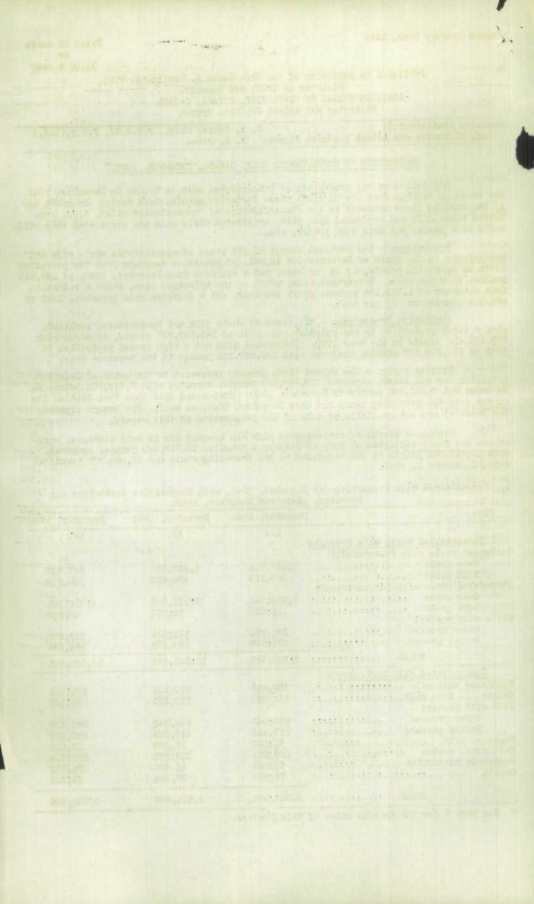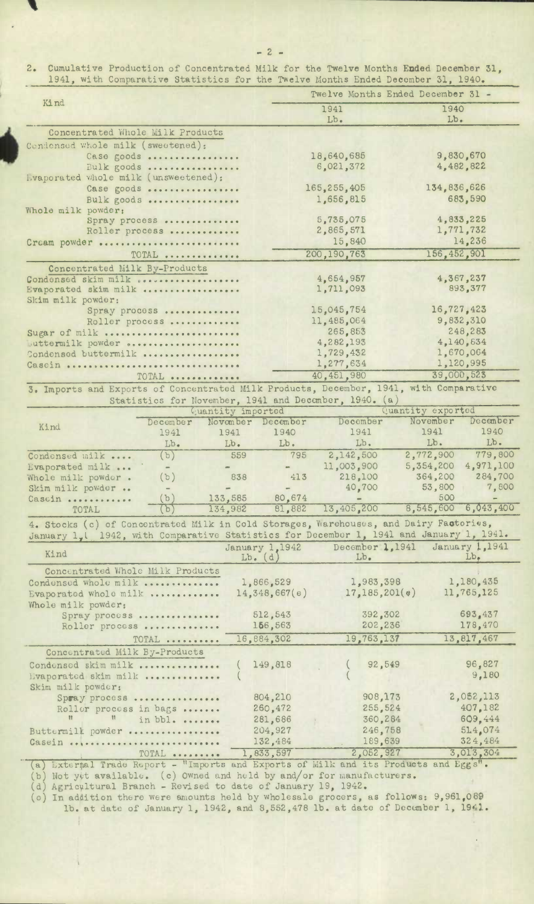Cumulative Production of Concentrated Milk for the Twelve Months **Euded** December 31, 1941, with Comparative Statistics for the Twelve Months Ended December 31, 1940.

|                                                                                                                                                                                                                                  |                |                                  |                              | Twelve Months Ended December 31 -                     |                      |                                                   |  |
|----------------------------------------------------------------------------------------------------------------------------------------------------------------------------------------------------------------------------------|----------------|----------------------------------|------------------------------|-------------------------------------------------------|----------------------|---------------------------------------------------|--|
| Kind                                                                                                                                                                                                                             |                |                                  |                              | 1941                                                  |                      | 1940<br>Lb.                                       |  |
| Concentrated Whole Milk Products                                                                                                                                                                                                 |                |                                  |                              | Lb.                                                   |                      |                                                   |  |
| Condensed whole milk (sweetened):                                                                                                                                                                                                |                |                                  |                              |                                                       |                      |                                                   |  |
|                                                                                                                                                                                                                                  | Case goods     |                                  |                              | 18,640,685                                            |                      | 9,830,670                                         |  |
|                                                                                                                                                                                                                                  | Bulk goods     |                                  |                              | 6,021,372                                             |                      | 4,482,822                                         |  |
| Evaporated whole milk (unsweetened):                                                                                                                                                                                             |                |                                  |                              |                                                       |                      |                                                   |  |
|                                                                                                                                                                                                                                  | Case goods     |                                  |                              | 165,255,405                                           | 134,836,626          |                                                   |  |
|                                                                                                                                                                                                                                  | Bulk goods     |                                  |                              | 1,656,815                                             |                      | 683,590                                           |  |
| Whole milk powder:                                                                                                                                                                                                               |                |                                  |                              |                                                       |                      |                                                   |  |
| Spray process<br>Roller process                                                                                                                                                                                                  |                |                                  | 5,735,075                    |                                                       | 4,833,225            |                                                   |  |
|                                                                                                                                                                                                                                  |                |                                  |                              | 2,865,571                                             |                      | 1,771,732<br>14,236                               |  |
| Cream powder                                                                                                                                                                                                                     |                |                                  |                              | 15,840                                                |                      |                                                   |  |
|                                                                                                                                                                                                                                  | TOTAL          |                                  |                              | 200,190,763                                           | 156,452,901          |                                                   |  |
| Concentrated Milk By-Products                                                                                                                                                                                                    |                |                                  |                              |                                                       |                      |                                                   |  |
| Condensed skim milk                                                                                                                                                                                                              |                |                                  |                              | 4,654,957                                             |                      | 4,367,237<br>893,377                              |  |
| Evaporated skim milk                                                                                                                                                                                                             |                |                                  |                              | 1,711,093                                             |                      |                                                   |  |
| Skim milk powder:                                                                                                                                                                                                                | Spray process  |                                  |                              | 15,045,754                                            | 16,727,423           |                                                   |  |
|                                                                                                                                                                                                                                  | Roller process |                                  |                              | 11,485,064                                            |                      | 9,832,310                                         |  |
| Sugar of milk                                                                                                                                                                                                                    |                |                                  |                              | 265,853                                               |                      | 248,283                                           |  |
| buttermilk powder                                                                                                                                                                                                                |                |                                  |                              | 4,282,193                                             |                      | 4,140,634                                         |  |
| Condensed buttermilk                                                                                                                                                                                                             |                |                                  |                              | 1,729,432                                             |                      | 1,670,064                                         |  |
| Casein                                                                                                                                                                                                                           |                |                                  |                              | 1,277,634                                             |                      | 1,120,995                                         |  |
|                                                                                                                                                                                                                                  | TOTAL          |                                  |                              | 40,451,980                                            |                      | 39,000,523                                        |  |
| 3. Imports and Exports of Concentrated Milk Products, December, 1941, with Comparative                                                                                                                                           |                |                                  |                              |                                                       |                      |                                                   |  |
|                                                                                                                                                                                                                                  |                |                                  |                              | Statistics for November, 1941 and December, 1940. (a) |                      |                                                   |  |
|                                                                                                                                                                                                                                  |                | Quantity imported                |                              |                                                       | Quantity exported    |                                                   |  |
| Kind                                                                                                                                                                                                                             | December       | Novomber December                |                              | December                                              | November             | December                                          |  |
|                                                                                                                                                                                                                                  | 1941           | 1941                             | 1940                         | 1941                                                  | 1941                 | 1940                                              |  |
|                                                                                                                                                                                                                                  | Lb.            | Lb.                              | Lb.                          | Lb.                                                   | Lb.                  | Lb.                                               |  |
| Condensed milk                                                                                                                                                                                                                   | (b)            | 559                              | 795                          | 2.142,500                                             | 2,772,900            | 779,800                                           |  |
| Evaporated milk                                                                                                                                                                                                                  | $\sim$         |                                  | <b>HELL</b>                  | 11,003,900                                            | 5,354,200<br>364,200 | 4,971,100                                         |  |
| Whole milk powder.                                                                                                                                                                                                               | (b)            | 838                              | 413                          | 218,100<br>40,700                                     | 53,800 7,800         | 284,700                                           |  |
| Skim milk powder<br>Cascin                                                                                                                                                                                                       | (b)            | $\blacksquare$<br>133,585 80,674 | $\qquad \qquad \blacksquare$ |                                                       | 500                  |                                                   |  |
|                                                                                                                                                                                                                                  |                |                                  |                              |                                                       |                      |                                                   |  |
|                                                                                                                                                                                                                                  |                |                                  |                              |                                                       |                      |                                                   |  |
| TOTAL                                                                                                                                                                                                                            |                | 134.982                          | 81,882                       | 13,405,200                                            | 8,545,600            |                                                   |  |
|                                                                                                                                                                                                                                  |                |                                  |                              |                                                       |                      |                                                   |  |
|                                                                                                                                                                                                                                  |                |                                  |                              |                                                       |                      |                                                   |  |
| Kind                                                                                                                                                                                                                             |                |                                  | January 1,1942               | December 1,1941                                       |                      |                                                   |  |
|                                                                                                                                                                                                                                  |                |                                  | $Lb.$ (d)                    | Tp.                                                   |                      | $Tp^*$                                            |  |
| Concentrated Whole Milk Products                                                                                                                                                                                                 |                |                                  |                              |                                                       |                      |                                                   |  |
|                                                                                                                                                                                                                                  |                |                                  | 1,866,529                    | 1,983,398                                             |                      | 1,180,435                                         |  |
|                                                                                                                                                                                                                                  |                |                                  | 14,348,667(e)                | 17, 185, 201(e)                                       |                      | 11,765,125                                        |  |
| 4. Stocks (c) of Concentrated Milk in Cold Storages, Warehouses, and Dairy Factories,<br>January 1, 1942, with Comparative Statistics for December 1, 1941 and January 1, 1941.<br>Condensed Whole milk<br>Evaporated whole milk |                |                                  |                              |                                                       |                      |                                                   |  |
| Spray process                                                                                                                                                                                                                    |                |                                  | 512,543                      | 392,302<br>202,236                                    |                      | 693,437<br>178,470                                |  |
| Roller process                                                                                                                                                                                                                   |                |                                  | 156,563                      |                                                       |                      |                                                   |  |
|                                                                                                                                                                                                                                  | TOTAL          |                                  | 16,884,302                   | 19,763,137                                            |                      | 13,817,467                                        |  |
| Concentrated Milk By-Products                                                                                                                                                                                                    |                |                                  |                              |                                                       |                      |                                                   |  |
| Condonsed skim milk                                                                                                                                                                                                              |                |                                  | 149,818                      | 92,549                                                |                      | 96,827                                            |  |
| Evaporated skim milk                                                                                                                                                                                                             |                |                                  |                              |                                                       |                      | 9,180                                             |  |
| Skim milk powder:                                                                                                                                                                                                                |                |                                  |                              |                                                       |                      |                                                   |  |
| Spray process                                                                                                                                                                                                                    |                |                                  | 804,210                      | 908,173                                               |                      | 2,052,113                                         |  |
| Roller process in bags<br>Ħ<br>Ħ                                                                                                                                                                                                 |                |                                  | 260,472                      | 255,524                                               |                      | 407,182                                           |  |
|                                                                                                                                                                                                                                  | in bbl.        |                                  | 281,686                      | 360,284                                               |                      | 609,444                                           |  |
| Whole milk powder;<br>Buttermilk powder<br>Casein                                                                                                                                                                                |                |                                  | 204,927<br>132,484           | 246,758<br>189,639                                    |                      | 6,043,400<br>January 1,1941<br>514,074<br>324,484 |  |

(a) External Trade Report - "Imports and Exports of Milk and its Products and Eggs".

Not y $\psi$ t available. (c) Owned and held by and/or for manufacturers.

(d) Agricultural Branch - Revised to date of January 19, 1942.

(o) In addition there were amounts held by wholesale grocers, as follows: 9,961,089 lb. at date of January 1, 1942, and 8,552,478 lb. at date of December 1, 1941. ÷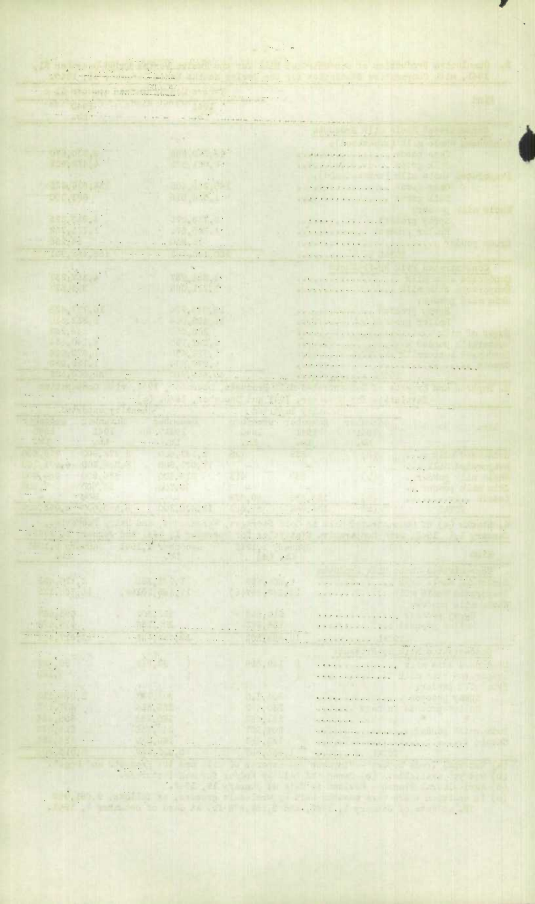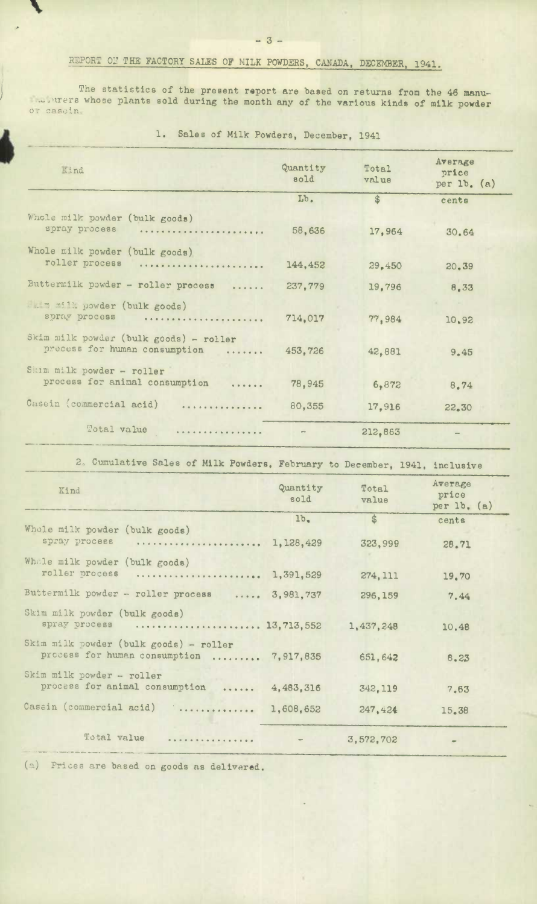## REPORT OF THE FACTORY SALES OF MILK POWDERS, CANADA, DECEMBER, 1941.

The statistics of the present report are based on returns from the 46 manu-<br>.... wrers whose plants sold during the month any of the various kinds of milk powder or casein.

| Kind                                                                    | Quantity<br>sold | Total<br>value | Average<br>price<br>per $lb.$ (a) |
|-------------------------------------------------------------------------|------------------|----------------|-----------------------------------|
|                                                                         | Lb.              | \$             | cents                             |
| Whole milk powder (bulk goods)<br>spray process                         | 58,636           | 17,964         | 30.64                             |
| Whole milk powder (bulk goods)<br>roller process                        | 144,452          | 29,450         | 20.39                             |
| Buttermilk powder - roller process<br>                                  | 237,779          | 19,796         | 8,33                              |
| www.milk.powder (bulk goods)<br>spray process                           | 714,017          | 77,984         | 10,92                             |
| Skim milk powder (bulk goods) - roller<br>process for human consumption | 453,726          | 42,881         | 9.45                              |
| Skim milk powder - roller<br>process for animal consumption<br>         | 78,945           | 6,872          | 8.74                              |
| Casein (commercial acid)<br>.                                           | 80,355           | 17,916         | 22.30                             |
| Total value<br><b></b>                                                  |                  | 212,863        |                                   |

1. Sales of Milk Powders, December, 1941

| 2. Cumulative Sales of Milk Powders, February to December, 1941, inclusive         |                  |                |                                   |
|------------------------------------------------------------------------------------|------------------|----------------|-----------------------------------|
| Kind                                                                               | Quantity<br>sold | Total<br>value | Average<br>price<br>per $1b.$ (a) |
|                                                                                    | 1b <sub>2</sub>  | \$             | cents                             |
| Whole milk powder (bulk goods)<br>spray process  1,128,429                         |                  | 323,999        | 28.71                             |
| Whole milk powder (bulk goods)                                                     |                  |                |                                   |
| roller process                                                                     |                  | 274, 111       | 19.70                             |
| Buttermilk powder - roller process  3,981,737                                      |                  | 296,159        | 7.44                              |
| Skim milk powder (bulk goods)<br>spray process  13,713,552                         |                  | 1,437,248      | 10.48                             |
| Skim milk powder (bulk goods) - roller<br>process for human consumption  7,917,835 |                  | 651, 642       | 8.23                              |
| Skim milk powder - roller<br>process for animal consumption                        | 4,483,316        | 342.119        | 7.63                              |
| Casein (commercial acid) (essentially 1,608,652                                    |                  | 247.424        | 15.38                             |
| Total value<br>.                                                                   |                  | 3,572,702      |                                   |

(a) Prices are based on goods as delivered.